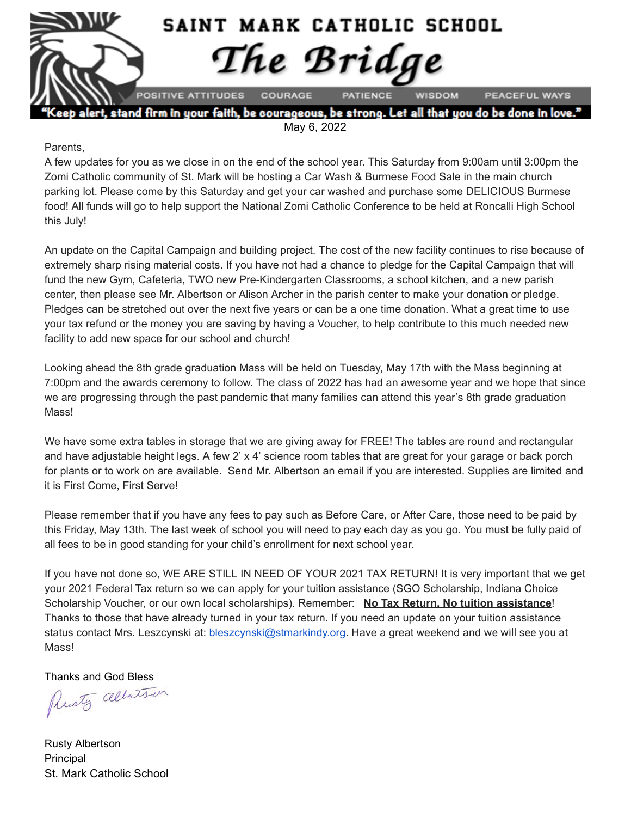

alert, stand firm in your faith, be courageous, be strong. Let all that you do be done in love." May 6, 2022

#### Parents,

A few updates for you as we close in on the end of the school year. This Saturday from 9:00am until 3:00pm the Zomi Catholic community of St. Mark will be hosting a Car Wash & Burmese Food Sale in the main church parking lot. Please come by this Saturday and get your car washed and purchase some DELICIOUS Burmese food! All funds will go to help support the National Zomi Catholic Conference to be held at Roncalli High School this July!

An update on the Capital Campaign and building project. The cost of the new facility continues to rise because of extremely sharp rising material costs. If you have not had a chance to pledge for the Capital Campaign that will fund the new Gym, Cafeteria, TWO new Pre-Kindergarten Classrooms, a school kitchen, and a new parish center, then please see Mr. Albertson or Alison Archer in the parish center to make your donation or pledge. Pledges can be stretched out over the next five years or can be a one time donation. What a great time to use your tax refund or the money you are saving by having a Voucher, to help contribute to this much needed new facility to add new space for our school and church!

Looking ahead the 8th grade graduation Mass will be held on Tuesday, May 17th with the Mass beginning at 7:00pm and the awards ceremony to follow. The class of 2022 has had an awesome year and we hope that since we are progressing through the past pandemic that many families can attend this year's 8th grade graduation **Mass!** 

We have some extra tables in storage that we are giving away for FREE! The tables are round and rectangular and have adjustable height legs. A few 2' x 4' science room tables that are great for your garage or back porch for plants or to work on are available. Send Mr. Albertson an email if you are interested. Supplies are limited and it is First Come, First Serve!

Please remember that if you have any fees to pay such as Before Care, or After Care, those need to be paid by this Friday, May 13th. The last week of school you will need to pay each day as you go. You must be fully paid of all fees to be in good standing for your child's enrollment for next school year.

If you have not done so, WE ARE STILL IN NEED OF YOUR 2021 TAX RETURN! It is very important that we get your 2021 Federal Tax return so we can apply for your tuition assistance (SGO Scholarship, Indiana Choice Scholarship Voucher, or our own local scholarships). Remember: **No Tax Return, No tuition assistance**! Thanks to those that have already turned in your tax return. If you need an update on your tuition assistance status contact Mrs. Leszcynski at: [bleszcynski@stmarkindy.org](mailto:bleszcynski@stmarkindy.org). Have a great weekend and we will see you at Mass!

Thanks and God Bless<br>Plusty albertson

Rusty Albertson Principal St. Mark Catholic School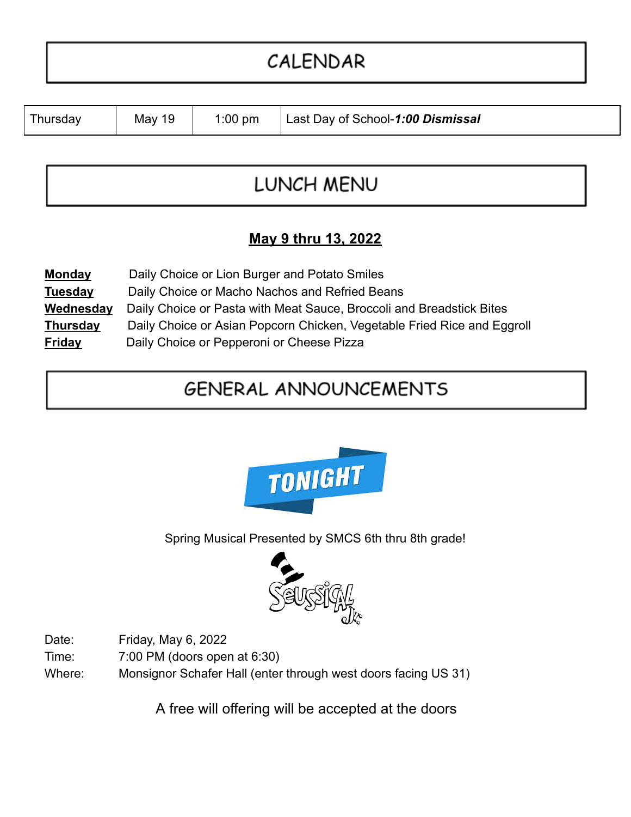# CALENDAR

| Thursday | May 19 | $1:00$ pm | Last Day of School-1:00 Dismissal |
|----------|--------|-----------|-----------------------------------|
|----------|--------|-----------|-----------------------------------|

## LUNCH MENU

### **May 9 thru 13, 2022**

| <b>Monday</b>   | Daily Choice or Lion Burger and Potato Smiles                           |
|-----------------|-------------------------------------------------------------------------|
| <b>Tuesday</b>  | Daily Choice or Macho Nachos and Refried Beans                          |
| Wednesday       | Daily Choice or Pasta with Meat Sauce, Broccoli and Breadstick Bites    |
| <b>Thursday</b> | Daily Choice or Asian Popcorn Chicken, Vegetable Fried Rice and Eggroll |
| <b>Friday</b>   | Daily Choice or Pepperoni or Cheese Pizza                               |

## **GENERAL ANNOUNCEMENTS**



Spring Musical Presented by SMCS 6th thru 8th grade!



Date: Friday, May 6, 2022

Time: 7:00 PM (doors open at 6:30)

Where: Monsignor Schafer Hall (enter through west doors facing US 31)

A free will offering will be accepted at the doors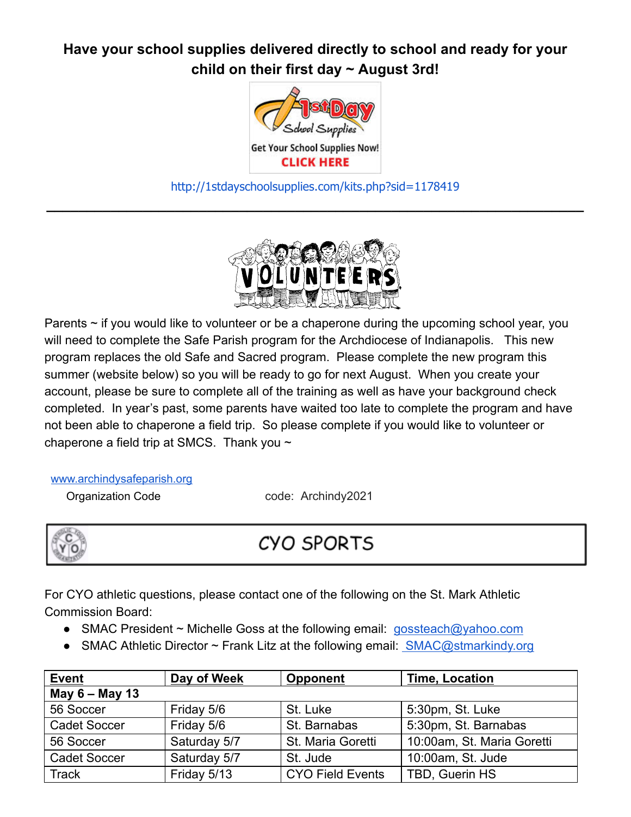### **Have your school supplies delivered directly to school and ready for your child on their first day ~ August 3rd!**



[http://1stdayschoolsupplies.com/kits.php?sid=1178419](http://click.email.1stdayschoolsupplies.com/?qs=46945f429e9a8db7702e89be71f3b0d4eef78093a8d63ec94a28a3cad94ea0d74c35e0f6fd48dfe32effb48f00d3e10965213564c457dd93) **\_\_\_\_\_\_\_\_\_\_\_\_\_\_\_\_\_\_\_\_\_\_\_\_\_\_\_\_\_\_\_\_\_\_\_\_\_\_\_\_\_\_\_\_\_\_\_\_\_\_\_\_\_\_\_\_\_\_\_\_\_\_\_\_\_\_\_**



Parents  $\sim$  if you would like to volunteer or be a chaperone during the upcoming school year, you will need to complete the Safe Parish program for the Archdiocese of Indianapolis. This new program replaces the old Safe and Sacred program. Please complete the new program this summer (website below) so you will be ready to go for next August. When you create your account, please be sure to complete all of the training as well as have your background check completed. In year's past, some parents have waited too late to complete the program and have not been able to chaperone a field trip. So please complete if you would like to volunteer or chaperone a field trip at SMCS. Thank you  $\sim$ 

[www.archindysafeparish.org](http://www.archindysafeparish.org/)

Organization Code code: Archindy2021



### **CYO SPORTS**

For CYO athletic questions, please contact one of the following on the St. Mark Athletic Commission Board:

- SMAC President ~ Michelle Goss at the following email: [gossteach@yahoo.com](mailto:gossteach@yahoo.com)
- SMAC Athletic Director  $\sim$  Frank Litz at the following email: [SMAC@stmarkindy.org](mailto:SMAC@stmarkindy.org)

| <b>Event</b>        | Day of Week  | <b>Opponent</b>         | <b>Time, Location</b>      |  |  |  |
|---------------------|--------------|-------------------------|----------------------------|--|--|--|
| May 6 - May 13      |              |                         |                            |  |  |  |
| 56 Soccer           | Friday 5/6   | St. Luke                | 5:30pm, St. Luke           |  |  |  |
| <b>Cadet Soccer</b> | Friday 5/6   | St. Barnabas            | 5:30pm, St. Barnabas       |  |  |  |
| 56 Soccer           | Saturday 5/7 | St. Maria Goretti       | 10:00am, St. Maria Goretti |  |  |  |
| <b>Cadet Soccer</b> | Saturday 5/7 | St. Jude                | 10:00am, St. Jude          |  |  |  |
| Track               | Friday 5/13  | <b>CYO Field Events</b> | TBD, Guerin HS             |  |  |  |